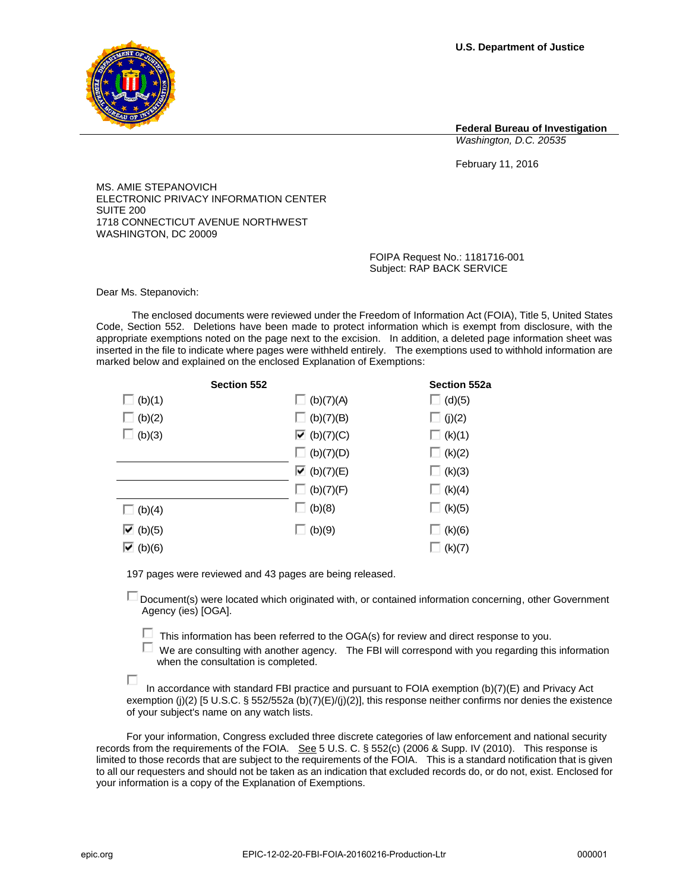**U.S. Department of Justice**

**Federal Bureau of Investigation** *Washington, D.C. 20535*

February 11, 2016

MS. AMIE STEPANOVICH ELECTRONIC PRIVACY INFORMATION CENTER SUITE 200 1718 CONNECTICUT AVENUE NORTHWEST WASHINGTON, DC 20009

> FOIPA Request No.: 1181716-001 Subject: RAP BACK SERVICE

Dear Ms. Stepanovich:

The enclosed documents were reviewed under the Freedom of Information Act (FOIA), Title 5, United States Code, Section 552. Deletions have been made to protect information which is exempt from disclosure, with the appropriate exemptions noted on the page next to the excision. In addition, a deleted page information sheet was inserted in the file to indicate where pages were withheld entirely. The exemptions used to withhold information are marked below and explained on the enclosed Explanation of Exemptions:

| <b>Section 552</b>                |                                       | Section 552a  |
|-----------------------------------|---------------------------------------|---------------|
| $\Box$ (b)(1)                     | $\Box$ (b)(7)(A)                      | $\Box$ (d)(5) |
| $\Box$ (b)(2)                     | $\Box$ (b)(7)(B)                      | $\Box$ (j)(2) |
| $\Box$ (b)(3)                     | $\overline{\triangleright}$ (b)(7)(C) | $\Box$ (k)(1) |
|                                   | $\Box$ (b)(7)(D)                      | $\Box$ (k)(2) |
|                                   | $\overline{\triangleright}$ (b)(7)(E) | (k)(3)        |
|                                   | $\Box$ (b)(7)(F)                      | $\Box$ (k)(4) |
| $\Box$ (b)(4)                     | $\Box$ (b)(8)                         | $\Box$ (k)(5) |
| $\overline{\triangledown}$ (b)(5) | $\Box$ (b)(9)                         | (k)(6)        |
| $\overline{\triangledown}$ (b)(6) |                                       | (k)(7)        |

197 pages were reviewed and 43 pages are being released.

Document(s) were located which originated with, or contained information concerning, other Government Agency (ies) [OGA].

- $\Box$  This information has been referred to the OGA(s) for review and direct response to you.
- $\Box$  We are consulting with another agency. The FBI will correspond with you regarding this information when the consultation is completed.

 In accordance with standard FBI practice and pursuant to FOIA exemption (b)(7)(E) and Privacy Act exemption (j)(2) [5 U.S.C. § 552/552a (b)(7)(E)/(j)(2)], this response neither confirms nor denies the existence of your subject's name on any watch lists.

For your information, Congress excluded three discrete categories of law enforcement and national security records from the requirements of the FOIA. See 5 U.S. C. § 552(c) (2006 & Supp. IV (2010). This response is limited to those records that are subject to the requirements of the FOIA. This is a standard notification that is given to all our requesters and should not be taken as an indication that excluded records do, or do not, exist. Enclosed for your information is a copy of the Explanation of Exemptions.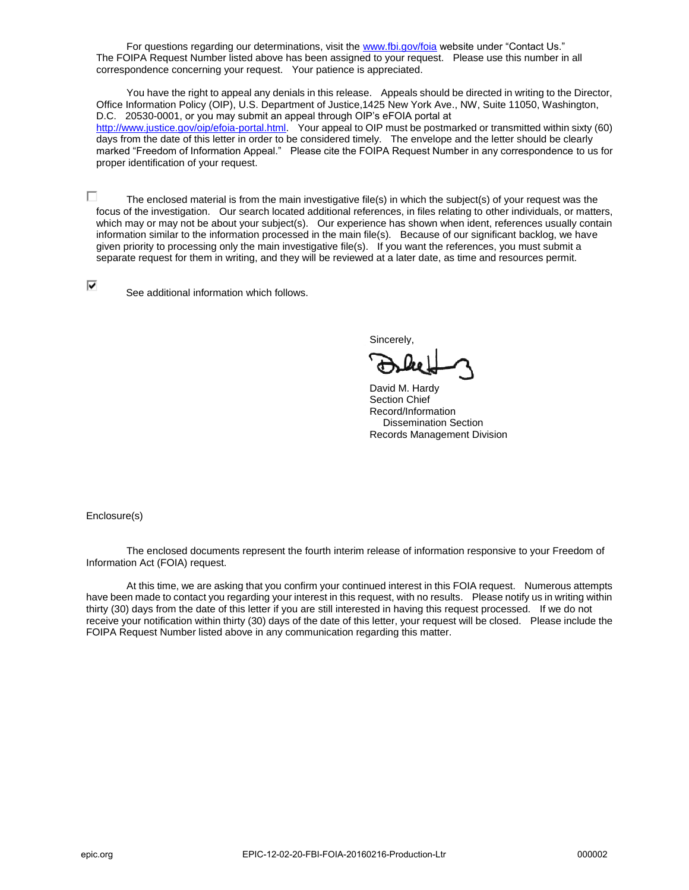For questions regarding our determinations, visit th[e www.fbi.gov/foia](http://www.fbi.gov/foia) website under "Contact Us." The FOIPA Request Number listed above has been assigned to your request. Please use this number in all correspondence concerning your request. Your patience is appreciated.

You have the right to appeal any denials in this release. Appeals should be directed in writing to the Director, Office Information Policy (OIP), U.S. Department of Justice,1425 New York Ave., NW, Suite 11050, Washington, D.C. 20530-0001, or you may submit an appeal through OIP's eFOIA portal at [http://www.justice.gov/oip/efoia-portal.html.](http://www.justice.gov/oip/efoia-portal.html) Your appeal to OIP must be postmarked or transmitted within sixty (60) days from the date of this letter in order to be considered timely. The envelope and the letter should be clearly marked "Freedom of Information Appeal." Please cite the FOIPA Request Number in any correspondence to us for proper identification of your request.

 $\Box$  The enclosed material is from the main investigative file(s) in which the subject(s) of your request was the focus of the investigation. Our search located additional references, in files relating to other individuals, or matters, which may or may not be about your subject(s). Our experience has shown when ident, references usually contain information similar to the information processed in the main file(s). Because of our significant backlog, we have given priority to processing only the main investigative file(s). If you want the references, you must submit a separate request for them in writing, and they will be reviewed at a later date, as time and resources permit.

⊽

See additional information which follows.

Sincerely,

David M. Hardy Section Chief Record/Information Dissemination Section Records Management Division

Enclosure(s)

The enclosed documents represent the fourth interim release of information responsive to your Freedom of Information Act (FOIA) request.

 At this time, we are asking that you confirm your continued interest in this FOIA request. Numerous attempts have been made to contact you regarding your interest in this request, with no results. Please notify us in writing within thirty (30) days from the date of this letter if you are still interested in having this request processed. If we do not receive your notification within thirty (30) days of the date of this letter, your request will be closed. Please include the FOIPA Request Number listed above in any communication regarding this matter.